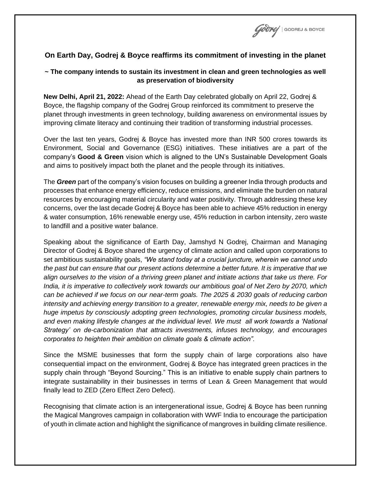

## **On Earth Day, Godrej & Boyce reaffirms its commitment of investing in the planet**

## **~ The company intends to sustain its investment in clean and green technologies as well as preservation of biodiversity**

**New Delhi, April 21, 2022:** Ahead of the Earth Day celebrated globally on April 22, Godrej & Boyce, the flagship company of the Godrej Group reinforced its commitment to preserve the planet through investments in green technology, building awareness on environmental issues by improving climate literacy and continuing their tradition of transforming industrial processes.

Over the last ten years, Godrej & Boyce has invested more than INR 500 crores towards its Environment, Social and Governance (ESG) initiatives. These initiatives are a part of the company's **Good & Green** vision which is aligned to the UN's Sustainable Development Goals and aims to positively impact both the planet and the people through its initiatives.

The *Green* part of the company's vision focuses on building a greener India through products and processes that enhance energy efficiency, reduce emissions, and eliminate the burden on natural resources by encouraging material circularity and water positivity. Through addressing these key concerns, over the last decade Godrej & Boyce has been able to achieve 45% reduction in energy & water consumption, 16% renewable energy use, 45% reduction in carbon intensity, zero waste to landfill and a positive water balance.

Speaking about the significance of Earth Day, Jamshyd N Godrej, Chairman and Managing Director of Godrej & Boyce shared the urgency of climate action and called upon corporations to set ambitious sustainability goals, *"We stand today at a crucial juncture, wherein we cannot undo the past but can ensure that our present actions determine a better future. It is imperative that we align ourselves to the vision of a thriving green planet and initiate actions that take us there. For India, it is imperative to collectively work towards our ambitious goal of Net Zero by 2070, which can be achieved if we focus on our near-term goals. The 2025 & 2030 goals of reducing carbon intensity and achieving energy transition to a greater, renewable energy mix, needs to be given a huge impetus by consciously adopting green technologies, promoting circular business models,*  and even making lifestyle changes at the individual level. We must all work towards a 'National *Strategy' on de-carbonization that attracts investments, infuses technology, and encourages corporates to heighten their ambition on climate goals & climate action".*

Since the MSME businesses that form the supply chain of large corporations also have consequential impact on the environment, Godrej & Boyce has integrated green practices in the supply chain through "Beyond Sourcing." This is an initiative to enable supply chain partners to integrate sustainability in their businesses in terms of Lean & Green Management that would finally lead to ZED (Zero Effect Zero Defect).

Recognising that climate action is an intergenerational issue, Godrej & Boyce has been running the Magical Mangroves campaign in collaboration with WWF India to encourage the participation of youth in climate action and highlight the significance of mangroves in building climate resilience.